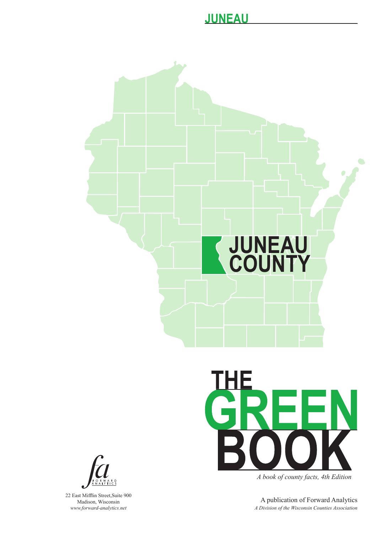



22 East Mifflin Street,Suite 900 Madison, Wisconsin *www.forward-analytics.net*



*A book of county facts, 4th Edition*

A publication of Forward Analytics *A Division of the Wisconsin Counties Association*